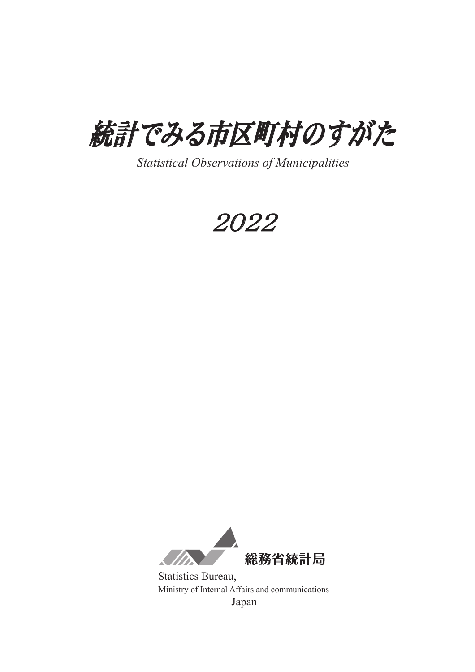

*Statistical Observations of Municipalities* 

䠎䠌䠎䠎



Statistics Bureau, Ministry of Internal Affairs and communications Japan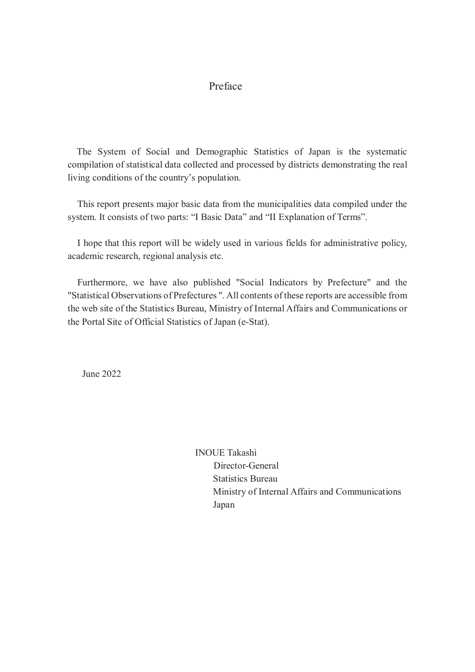## Preface

 The System of Social and Demographic Statistics of Japan is the systematic compilation of statistical data collected and processed by districts demonstrating the real living conditions of the country's population.

 This report presents major basic data from the municipalities data compiled under the system. It consists of two parts: "I Basic Data" and "II Explanation of Terms".

I hope that this report will be widely used in various fields for administrative policy, academic research, regional analysis etc.

Furthermore, we have also published "Social Indicators by Prefecture" and the "Statistical Observations of Prefectures ". All contents of these reports are accessible from the web site of the Statistics Bureau, Ministry of Internal Affairs and Communications or the Portal Site of Official Statistics of Japan (e-Stat).

June 2022

INOUE Takashi Director-General Statistics Bureau Ministry of Internal Affairs and Communications Japan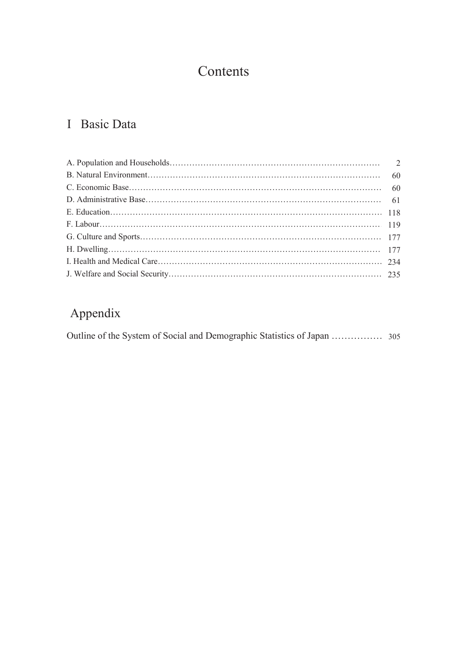# Contents

# I Basic Data

# Appendix

Outline of the System of Social and Demographic Statistics of Japan ………………305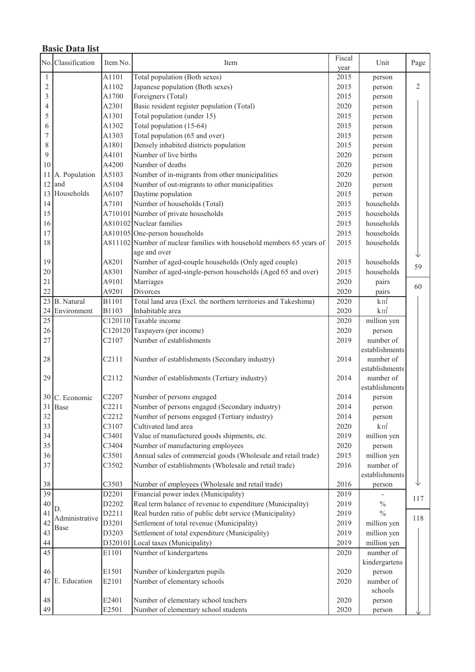|                 | <b>Basic Data list</b> |                    |                                                                                       |        |                |              |  |  |  |
|-----------------|------------------------|--------------------|---------------------------------------------------------------------------------------|--------|----------------|--------------|--|--|--|
|                 | No. Classification     | Item No.           | Item                                                                                  | Fiscal | Unit           | Page         |  |  |  |
|                 |                        |                    |                                                                                       | year   |                |              |  |  |  |
| $\mathbf{1}$    |                        | A1101              | Total population (Both sexes)                                                         | 2015   | person         |              |  |  |  |
| $\overline{c}$  |                        | A1102              | Japanese population (Both sexes)                                                      | 2015   | person         | $\mathbf{2}$ |  |  |  |
| 3               |                        | A1700              | Foreigners (Total)                                                                    | 2015   | person         |              |  |  |  |
| 4               |                        | A2301              | Basic resident register population (Total)                                            | 2020   | person         |              |  |  |  |
| 5               |                        | A1301              | Total population (under 15)                                                           | 2015   | person         |              |  |  |  |
| 6               |                        | A1302              | Total population (15-64)                                                              | 2015   | person         |              |  |  |  |
| 7               |                        | A1303              | Total population (65 and over)                                                        | 2015   | person         |              |  |  |  |
| 8               |                        | A1801              | Densely inhabited districts population                                                | 2015   | person         |              |  |  |  |
| 9               |                        | A4101              | Number of live births                                                                 | 2020   | person         |              |  |  |  |
| 10              |                        | A4200              | Number of deaths                                                                      | 2020   | person         |              |  |  |  |
| 11              | A. Population          | A5103              | Number of in-migrants from other municipalities                                       | 2020   | person         |              |  |  |  |
| 12              | and                    | A5104              | Number of out-migrants to other municipalities                                        | 2020   | person         |              |  |  |  |
| 13              | Households             | A6107              | Daytime population                                                                    | 2015   | person         |              |  |  |  |
| 14              |                        | A7101              | Number of households (Total)                                                          | 2015   | households     |              |  |  |  |
| 15              |                        |                    | A710101 Number of private households                                                  | 2015   | households     |              |  |  |  |
| 16              |                        |                    | A810102 Nuclear families                                                              | 2015   | households     |              |  |  |  |
| 17              |                        |                    | A810105 One-person households                                                         | 2015   | households     |              |  |  |  |
| 18              |                        |                    | A811102 Number of nuclear families with household members 65 years of<br>age and over | 2015   | households     |              |  |  |  |
| 19              |                        | A8201              | Number of aged-couple households (Only aged couple)                                   | 2015   | households     |              |  |  |  |
| 20              |                        | A8301              | Number of aged-single-person households (Aged 65 and over)                            | 2015   | households     | 59           |  |  |  |
| 21              |                        | A9101              | Marriages                                                                             | 2020   | pairs          |              |  |  |  |
| 22              |                        | A9201              | Divorces                                                                              | 2020   | pairs          | 60           |  |  |  |
|                 | 23 B. Natural          | B1101              | Total land area (Excl. the northern territories and Takeshima)                        | 2020   | $km^2$         |              |  |  |  |
|                 | 24 Environment         | B1103              | Inhabitable area                                                                      | 2020   | $km^2$         |              |  |  |  |
| $\overline{25}$ |                        |                    | C120110 Taxable income                                                                | 2020   | million yen    |              |  |  |  |
| 26              |                        |                    | C120120 Taxpayers (per income)                                                        | 2020   | person         |              |  |  |  |
| 27              |                        | C <sub>2</sub> 107 | Number of establishments                                                              | 2019   | number of      |              |  |  |  |
|                 |                        |                    |                                                                                       |        | establishments |              |  |  |  |
| 28              |                        | C2111              | Number of establishments (Secondary industry)                                         | 2014   | number of      |              |  |  |  |
|                 |                        |                    |                                                                                       |        | establishments |              |  |  |  |
| 29              |                        | C2112              | Number of establishments (Tertiary industry)                                          | 2014   | number of      |              |  |  |  |
|                 |                        |                    |                                                                                       |        | establishments |              |  |  |  |
|                 | 30 C. Economic         | C <sub>2207</sub>  | Number of persons engaged                                                             | 2014   | person         |              |  |  |  |
| 31              | Base                   | C2211              | Number of persons engaged (Secondary industry)                                        | 2014   | person         |              |  |  |  |
| 32              |                        | C2212              | Number of persons engaged (Tertiary industry)                                         | 2014   | person         |              |  |  |  |
| 33              |                        | C3107              | Cultivated land area                                                                  | 2020   | $km^2$         |              |  |  |  |
| 34              |                        | C3401              | Value of manufactured goods shipments, etc.                                           | 2019   | million yen    |              |  |  |  |
| 35              |                        | C3404              | Number of manufacturing employees                                                     | 2020   | person         |              |  |  |  |
| 36              |                        | C3501              | Annual sales of commercial goods (Wholesale and retail trade)                         | 2015   | million yen    |              |  |  |  |
| 37              |                        | C3502              | Number of establishments (Wholesale and retail trade)                                 | 2016   | number of      |              |  |  |  |
|                 |                        |                    |                                                                                       |        | establishments |              |  |  |  |
| 38              |                        | C3503              | Number of employees (Wholesale and retail trade)                                      | 2016   | person         |              |  |  |  |
| $\overline{39}$ |                        | D2201              | Financial power index (Municipality)                                                  | 2019   |                | 117          |  |  |  |
| 40              |                        | D2202              | Real term balance of revenue to expenditure (Municipality)                            | 2019   | $\frac{0}{0}$  |              |  |  |  |
| 41              | D.<br>Administrative   | D2211              | Real burden ratio of public debt service (Municipality)                               | 2019   | $\frac{0}{0}$  | 118          |  |  |  |
| 42              | Base                   | D3201              | Settlement of total revenue (Municipality)                                            | 2019   | million yen    |              |  |  |  |
| 43              |                        | D3203              | Settlement of total expenditure (Municipality)                                        | 2019   | million yen    |              |  |  |  |
| 44              |                        | D320101            | Local taxes (Municipality)                                                            | 2019   | million yen    |              |  |  |  |
| 45              |                        | E1101              | Number of kindergartens                                                               | 2020   | number of      |              |  |  |  |
|                 |                        |                    |                                                                                       |        | kindergartens  |              |  |  |  |
| 46              |                        | E1501              | Number of kindergarten pupils                                                         | 2020   | person         |              |  |  |  |
|                 | 47 E. Education        | E2101              | Number of elementary schools                                                          | 2020   | number of      |              |  |  |  |
|                 |                        |                    |                                                                                       |        | schools        |              |  |  |  |
| 48              |                        | E2401              | Number of elementary school teachers                                                  | 2020   | person         |              |  |  |  |
| 49              |                        | E2501              | Number of elementary school students                                                  | 2020   | person         |              |  |  |  |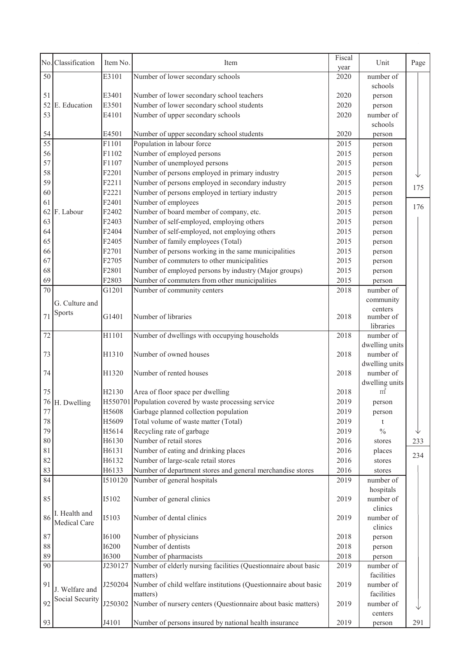|                 | No. Classification | Item No.                                                                   | Item                                                            | Fiscal<br>year | Unit           | Page |
|-----------------|--------------------|----------------------------------------------------------------------------|-----------------------------------------------------------------|----------------|----------------|------|
| 50              |                    | E3101                                                                      | Number of lower secondary schools                               | 2020           | number of      |      |
|                 |                    |                                                                            |                                                                 |                | schools        |      |
| 51              |                    | E3401                                                                      | Number of lower secondary school teachers                       | 2020           | person         |      |
| 52              | E. Education       | E3501                                                                      | Number of lower secondary school students                       | 2020           | person         |      |
| 53              |                    | E4101                                                                      | Number of upper secondary schools                               | 2020           | number of      |      |
|                 |                    |                                                                            |                                                                 |                | schools        |      |
| 54              |                    | E4501                                                                      | Number of upper secondary school students                       | 2020           | person         |      |
| $\overline{55}$ |                    | F1101                                                                      | Population in labour force                                      | 2015           | person         |      |
| 56              |                    | F1102                                                                      | Number of employed persons                                      | 2015           | person         |      |
| 57              |                    | F1107                                                                      | Number of unemployed persons                                    | 2015           | person         |      |
| 58              |                    | F2201                                                                      | Number of persons employed in primary industry                  | 2015           | person         |      |
| 59              |                    | F2211                                                                      | Number of persons employed in secondary industry                | 2015           | person         |      |
| 60              |                    | F2221                                                                      | Number of persons employed in tertiary industry                 | 2015           | person         | 175  |
| 61              |                    | F2401                                                                      | Number of employees                                             | 2015           | person         |      |
| 62              | F. Labour          | F2402                                                                      | Number of board member of company, etc.                         | 2015           | person         | 176  |
| 63              |                    | F2403                                                                      | Number of self-employed, employing others                       | 2015           | person         |      |
| 64              |                    | F2404                                                                      | Number of self-employed, not employing others                   | 2015           | person         |      |
| 65              |                    | F2405                                                                      | Number of family employees (Total)                              | 2015           | person         |      |
| 66              |                    | F2701                                                                      | Number of persons working in the same municipalities            | 2015           | person         |      |
| 67              |                    | F2705                                                                      | Number of commuters to other municipalities                     | 2015           | person         |      |
| 68              |                    | F2801                                                                      | Number of employed persons by industry (Major groups)           | 2015           | person         |      |
| 69              |                    | F2803                                                                      | Number of commuters from other municipalities                   | 2015           | person         |      |
| 70              |                    | G1201                                                                      | Number of community centers                                     | 2018           | number of      |      |
|                 |                    |                                                                            |                                                                 |                | community      |      |
|                 | G. Culture and     |                                                                            |                                                                 |                | centers        |      |
| 71              | Sports             | G1401                                                                      | Number of libraries                                             | 2018           | number of      |      |
|                 |                    |                                                                            |                                                                 |                | libraries      |      |
| 72              |                    | H1101                                                                      | Number of dwellings with occupying households                   | 2018           | number of      |      |
|                 |                    |                                                                            |                                                                 |                | dwelling units |      |
| 73              |                    | H1310                                                                      | Number of owned houses                                          | 2018           | number of      |      |
|                 |                    |                                                                            |                                                                 |                | dwelling units |      |
| 74              |                    | H1320                                                                      | Number of rented houses                                         | 2018           | number of      |      |
|                 |                    |                                                                            |                                                                 |                | dwelling units |      |
| 75              |                    | H2130                                                                      | Area of floor space per dwelling                                | 2018           | m <sup>2</sup> |      |
| 76              | H. Dwelling        |                                                                            | H550701 Population covered by waste processing service          | 2019           | person         |      |
| 77              |                    | H <sub>5608</sub>                                                          | Garbage planned collection population                           | 2019           | person         |      |
| $78\,$          |                    | H5609                                                                      | Total volume of waste matter (Total)                            | 2019           | t              |      |
| 79              |                    | H5614                                                                      | Recycling rate of garbage                                       | 2019           | $\frac{0}{0}$  |      |
| 80              |                    | H6130                                                                      | Number of retail stores                                         | 2016           | stores         | 233  |
| 81              |                    | H6131                                                                      | Number of eating and drinking places                            | 2016           | places         | 234  |
| 82              |                    | H6132                                                                      | Number of large-scale retail stores                             | 2016           | stores         |      |
| 83              |                    | H6133                                                                      | Number of department stores and general merchandise stores      | 2016           | stores         |      |
| 84              |                    | I510120                                                                    | Number of general hospitals                                     | 2019           | number of      |      |
|                 |                    |                                                                            |                                                                 |                | hospitals      |      |
| 85              |                    | I5102                                                                      | Number of general clinics                                       | 2019           | number of      |      |
|                 | I. Health and      |                                                                            |                                                                 |                | clinics        |      |
| 86              | Medical Care       | I5103                                                                      | Number of dental clinics                                        | 2019           | number of      |      |
|                 |                    |                                                                            |                                                                 |                | clinics        |      |
| 87              |                    | <b>I6100</b>                                                               | Number of physicians                                            | 2018           | person         |      |
| 88              |                    | <b>I6200</b>                                                               | Number of dentists                                              | 2018           | person         |      |
| 89              |                    | <b>I6300</b>                                                               | Number of pharmacists                                           | 2018           | person         |      |
| 90              |                    | J230127                                                                    | Number of elderly nursing facilities (Questionnaire about basic | 2019           | number of      |      |
|                 |                    |                                                                            | matters)                                                        |                | facilities     |      |
| 91              | J. Welfare and     | J250204<br>Number of child welfare institutions (Questionnaire about basic | 2019                                                            | number of      |                |      |
|                 | Social Security    |                                                                            | matters)                                                        |                | facilities     |      |
| 92              |                    | J250302                                                                    | Number of nursery centers (Questionnaire about basic matters)   | 2019           | number of      |      |
|                 |                    |                                                                            |                                                                 |                | centers        |      |
| 93              |                    | J4101                                                                      | Number of persons insured by national health insurance          | 2019           | person         | 291  |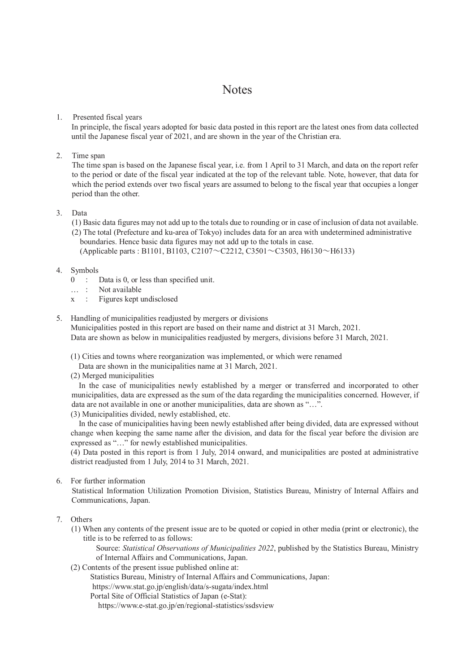## **Notes**

#### 1. Presented fiscal years

In principle, the fiscal years adopted for basic data posted in this report are the latest ones from data collected until the Japanese fiscal year of 2021, and are shown in the year of the Christian era.

2. Time span

The time span is based on the Japanese fiscal year, i.e. from 1 April to 31 March, and data on the report refer to the period or date of the fiscal year indicated at the top of the relevant table. Note, however, that data for which the period extends over two fiscal years are assumed to belong to the fiscal year that occupies a longer period than the other.

### 3. Data

(1) Basic data figures may not add up to the totals due to rounding or in case of inclusion of data not available.

(2) The total (Prefecture and ku-area of Tokyo) includes data for an area with undetermined administrative boundaries. Hence basic data figures may not add up to the totals in case.

(Applicable parts : B1101, B1103, C2107 $\sim$ C2212, C3501 $\sim$ C3503, H6130 $\sim$ H6133)

### 4. Symbols

- $0 :$  Data is 0, or less than specified unit.
- … : Not available
- x : Figures kept undisclosed
- 5. Handling of municipalities readjusted by mergers or divisions

Municipalities posted in this report are based on their name and district at 31 March, 2021. Data are shown as below in municipalities readjusted by mergers, divisions before 31 March, 2021.

(1) Cities and towns where reorganization was implemented, or which were renamed

Data are shown in the municipalities name at 31 March, 2021.

(2) Merged municipalities

In the case of municipalities newly established by a merger or transferred and incorporated to other municipalities, data are expressed as the sum of the data regarding the municipalities concerned. However, if data are not available in one or another municipalities, data are shown as "…".

(3) Municipalities divided, newly established, etc.

 In the case of municipalities having been newly established after being divided, data are expressed without change when keeping the same name after the division, and data for the fiscal year before the division are expressed as "…" for newly established municipalities.

(4) Data posted in this report is from 1 July, 2014 onward, and municipalities are posted at administrative district readjusted from 1 July, 2014 to 31 March, 2021.

6. For further information

Statistical Information Utilization Promotion Division, Statistics Bureau, Ministry of Internal Affairs and Communications, Japan.

- 7. Others
	- (1) When any contents of the present issue are to be quoted or copied in other media (print or electronic), the title is to be referred to as follows:

Source: *Statistical Observations of Municipalities 2022*, published by the Statistics Bureau, Ministry of Internal Affairs and Communications, Japan.

(2) Contents of the present issue published online at:

Statistics Bureau, Ministry of Internal Affairs and Communications, Japan:

https://www.stat.go.jp/english/data/s-sugata/index.html

Portal Site of Official Statistics of Japan (e-Stat):

https://www.e-stat.go.jp/en/regional-statistics/ssdsview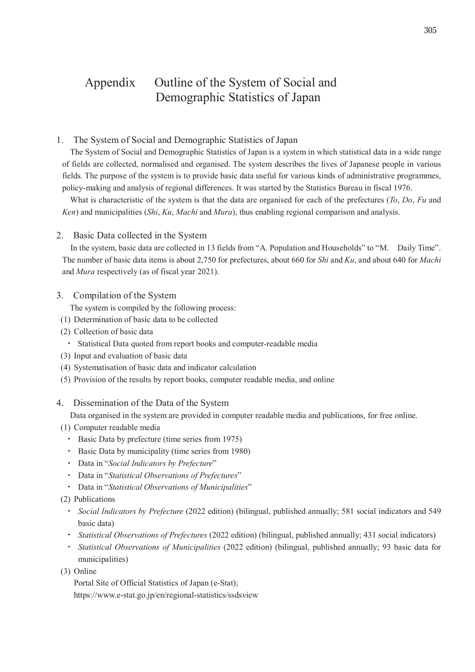## Appendix Outline of the System of Social and Demographic Statistics of Japan

1. The System of Social and Demographic Statistics of Japan

The System of Social and Demographic Statistics of Japan is a system in which statistical data in a wide range of fields are collected, normalised and organised. The system describes the lives of Japanese people in various fields. The purpose of the system is to provide basic data useful for various kinds of administrative programmes, policy-making and analysis of regional differences. It was started by the Statistics Bureau in fiscal 1976.

What is characteristic of the system is that the data are organised for each of the prefectures (*To*, *Do*, *Fu* and *Ken*) and municipalities (*Shi*, *Ku*, *Machi* and *Mura*), thus enabling regional comparison and analysis.

#### 2. Basic Data collected in the System

In the system, basic data are collected in 13 fields from "A. Population and Households" to "M. Daily Time". The number of basic data items is about 2,750 for prefectures, about 660 for *Shi* and *Ku*, and about 640 for *Machi* and *Mura* respectively (as of fiscal year 2021).

3. Compilation of the System

The system is compiled by the following process:

- (1) Determination of basic data to be collected
- (2) Collection of basic data
	- ࣭ Statistical Data quoted from report books and computer-readable media
- (3) Input and evaluation of basic data
- (4) Systematisation of basic data and indicator calculation
- (5) Provision of the results by report books, computer readable media, and online
- 4. Dissemination of the Data of the System

Data organised in the system are provided in computer readable media and publications, for free online.

- (1) Computer readable media
	- ࣭ Basic Data by prefecture (time series from 1975)
	- Basic Data by municipality (time series from 1980)
	- ࣭ Data in "*Social Indicators by Prefecture*"
	- ࣭ Data in "*Statistical Observations of Prefectures*"
	- ࣭ Data in "*Statistical Observations of Municipalities*"
- (2) Publications
	- ࣭ *Social Indicators by Prefecture* (2022 edition) (bilingual, published annually; 581 social indicators and 549 basic data)
	- ࣭ *Statistical Observations of Prefectures* (2022 edition) (bilingual, published annually; 431 social indicators)
	- ࣭ *Statistical Observations of Municipalities* (2022 edition) (bilingual, published annually; 93 basic data for municipalities)
- (3) Online

Portal Site of Official Statistics of Japan (e-Stat); https://www.e-stat.go.jp/en/regional-statistics/ssdsview